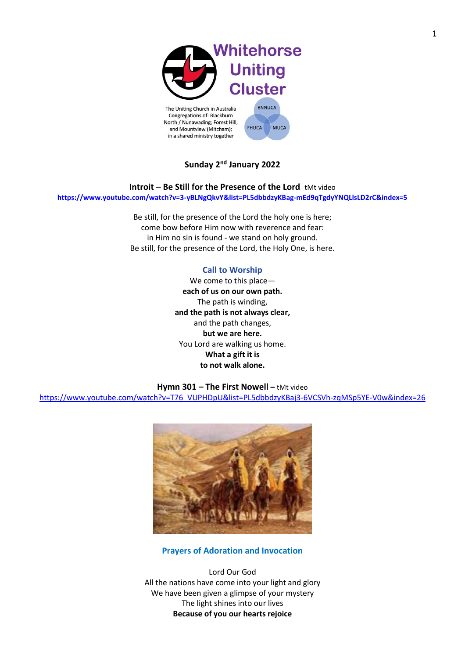

# **Sunday 2 nd January 2022**

**Introit – Be Still for the Presence of the Lord <b>tMt video <https://www.youtube.com/watch?v=3-yBLNgQkvY&list=PL5dbbdzyKBag-mEd9qTgdyYNQLlsLD2rC&index=5>**

> Be still, for the presence of the Lord the holy one is here; come bow before Him now with reverence and fear: in Him no sin is found - we stand on holy ground. Be still, for the presence of the Lord, the Holy One, is here.

## **Call to Worship**

We come to this place **each of us on our own path.** The path is winding, **and the path is not always clear,** and the path changes, **but we are here.** You Lord are walking us home. **What a gift it is to not walk alone.**

### **Hymn 301 – The First Nowell –** tMt video

[https://www.youtube.com/watch?v=T76\\_VUPHDpU&list=PL5dbbdzyKBaj3-6VCSVh-zqMSp5YE-V0w&index=26](https://www.youtube.com/watch?v=T76_VUPHDpU&list=PL5dbbdzyKBaj3-6VCSVh-zqMSp5YE-V0w&index=26)



### **Prayers of Adoration and Invocation**

Lord Our God All the nations have come into your light and glory We have been given a glimpse of your mystery The light shines into our lives **Because of you our hearts rejoice**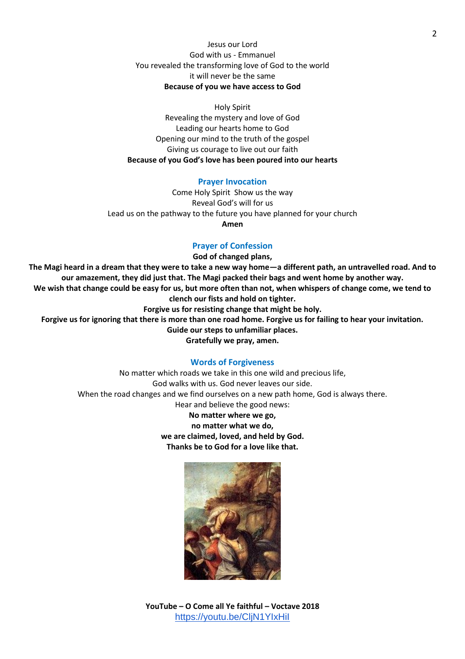## Jesus our Lord God with us - Emmanuel You revealed the transforming love of God to the world it will never be the same **Because of you we have access to God**

Holy Spirit Revealing the mystery and love of God Leading our hearts home to God Opening our mind to the truth of the gospel Giving us courage to live out our faith **Because of you God's love has been poured into our hearts** 

#### **Prayer Invocation**

Come Holy Spirit Show us the way Reveal God's will for us Lead us on the pathway to the future you have planned for your church **Amen** 

## **Prayer of Confession**

#### **God of changed plans,**

**The Magi heard in a dream that they were to take a new way home—a different path, an untravelled road. And to our amazement, they did just that. The Magi packed their bags and went home by another way. We wish that change could be easy for us, but more often than not, when whispers of change come, we tend to clench our fists and hold on tighter.**

**Forgive us for resisting change that might be holy.**

**Forgive us for ignoring that there is more than one road home. Forgive us for failing to hear your invitation.**

**Guide our steps to unfamiliar places.**

**Gratefully we pray, amen.**

#### **Words of Forgiveness**

No matter which roads we take in this one wild and precious life, God walks with us. God never leaves our side. When the road changes and we find ourselves on a new path home, God is always there. Hear and believe the good news:

**No matter where we go, no matter what we do, we are claimed, loved, and held by God. Thanks be to God for a love like that.**



**YouTube – O Come all Ye faithful – Voctave 2018** <https://youtu.be/CljN1YIxHiI>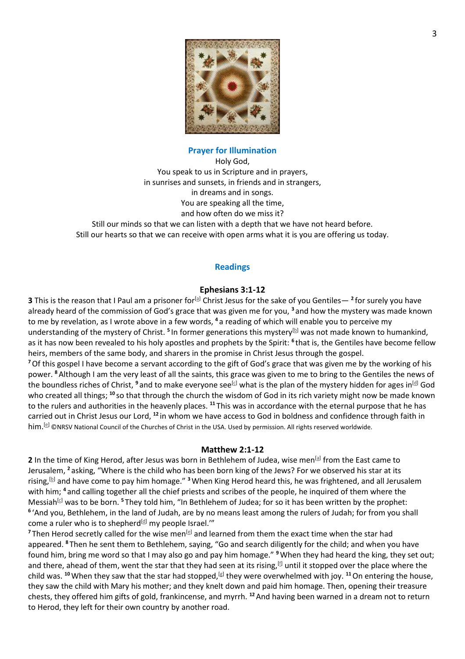

## **Prayer for Illumination**

Holy God, You speak to us in Scripture and in prayers, in sunrises and sunsets, in friends and in strangers, in dreams and in songs. You are speaking all the time, and how often do we miss it? Still our minds so that we can listen with a depth that we have not heard before. Still our hearts so that we can receive with open arms what it is you are offering us today.

## **Readings**

## **Ephesians 3:1-12**

**3** This is the reason that I Paul am a prisoner for<sup>[<u>a</u>]</sup> Christ Jesus for the sake of you Gentiles— <sup>2</sup> for surely you have already heard of the commission of God's grace that was given me for you, **<sup>3</sup>** and how the mystery was made known to me by revelation, as I wrote above in a few words, **<sup>4</sup>** a reading of which will enable you to perceive my understanding of the mystery of Christ. <sup>5</sup> In former generations this mystery<sup>[\[b\]](https://www.biblegateway.com/passage/?search=Ephesians+3%3A1-12&version=NRSV#fen-NRSV-29240b)</sup> was not made known to humankind*,* as it has now been revealed to his holy apostles and prophets by the Spirit: **<sup>6</sup>** that is, the Gentiles have become fellow heirs, members of the same body, and sharers in the promise in Christ Jesus through the gospel.

**<sup>7</sup>**Of this gospel I have become a servant according to the gift of God's grace that was given me by the working of his power. **<sup>8</sup>**Although I am the very least of all the saints, this grace was given to me to bring to the Gentiles the news of the boundless riches of Christ, <sup>9</sup> and to make everyone see<sup>[\[c\]](https://www.biblegateway.com/passage/?search=Ephesians+3%3A1-12&version=NRSV#fen-NRSV-29244c)</sup> what is the plan of the mystery hidden for ages in<sup>[\[d\]](https://www.biblegateway.com/passage/?search=Ephesians+3%3A1-12&version=NRSV#fen-NRSV-29244d)</sup> God who created all things; <sup>10</sup> so that through the church the wisdom of God in its rich variety might now be made known to the rulers and authorities in the heavenly places. **<sup>11</sup>** This was in accordance with the eternal purpose that he has carried out in Christ Jesus our Lord, **<sup>12</sup>** in whom we have access to God in boldness and confidence through faith in him.<sup>[\[e\]](https://www.biblegateway.com/passage/?search=Ephesians+3%3A1-12&version=NRSV#fen-NRSV-29247e)</sup> ©NRSV National Council of the Churches of Christ in the USA. Used by permission. All rights reserved worldwide.

#### **Matthew 2:1-12**

**2** In the time of King Herod, after Jesus was born in Bethlehem of Judea, wise men<sup>[\[a\]](https://www.biblegateway.com/passage/?search=Matthew+2%3A1-12&version=NRSV#fen-NRSV-23171a)</sup> from the East came to Jerusalem, **<sup>2</sup>** asking, "Where is the child who has been born king of the Jews? For we observed his star at its rising,[\[b\]](https://www.biblegateway.com/passage/?search=Matthew+2%3A1-12&version=NRSV#fen-NRSV-23172b) and have come to pay him homage." **<sup>3</sup>**When King Herod heard this, he was frightened, and all Jerusalem with him; **<sup>4</sup>** and calling together all the chief priests and scribes of the people, he inquired of them where the Messiah<sup>[\[c\]](https://www.biblegateway.com/passage/?search=Matthew+2%3A1-12&version=NRSV#fen-NRSV-23174c)</sup> was to be born.<sup>5</sup> They told him, "In Bethlehem of Judea; for so it has been written by the prophet: **6** 'And you, Bethlehem, in the land of Judah, are by no means least among the rulers of Judah; for from you shall come a ruler who is to shepherd $[d]$  my people Israel."

<sup>7</sup> Then Herod secretly called for the wise men<sup>[\[e\]](https://www.biblegateway.com/passage/?search=Matthew+2%3A1-12&version=NRSV#fen-NRSV-23177e)</sup> and learned from them the exact time when the star had appeared. **<sup>8</sup>** Then he sent them to Bethlehem, saying, "Go and search diligently for the child; and when you have found him, bring me word so that I may also go and pay him homage." **<sup>9</sup>**When they had heard the king, they set out; and there, ahead of them, went the star that they had seen at its rising,  $[0]$  until it stopped over the place where the child was. <sup>10</sup> When they saw that the star had stopped,<sup>[\[g\]](https://www.biblegateway.com/passage/?search=Matthew+2%3A1-12&version=NRSV#fen-NRSV-23180g)</sup> they were overwhelmed with joy. <sup>11</sup> On entering the house, they saw the child with Mary his mother; and they knelt down and paid him homage. Then, opening their treasure chests, they offered him gifts of gold, frankincense, and myrrh. **<sup>12</sup>**And having been warned in a dream not to return to Herod, they left for their own country by another road.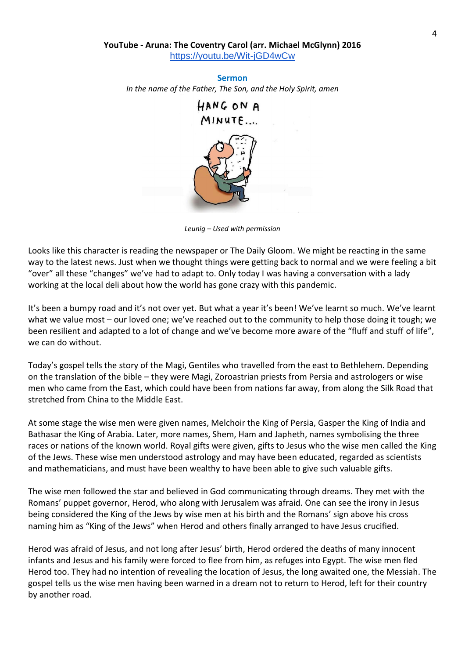## **YouTube - Aruna: The Coventry Carol (arr. Michael McGlynn) 2016** <https://youtu.be/Wit-jGD4wCw>

**Sermon**  *In the name of the Father, The Son, and the Holy Spirit, amen*  HANG ON A



*Leunig – Used with permission*

Looks like this character is reading the newspaper or The Daily Gloom. We might be reacting in the same way to the latest news. Just when we thought things were getting back to normal and we were feeling a bit "over" all these "changes" we've had to adapt to. Only today I was having a conversation with a lady working at the local deli about how the world has gone crazy with this pandemic.

It's been a bumpy road and it's not over yet. But what a year it's been! We've learnt so much. We've learnt what we value most – our loved one; we've reached out to the community to help those doing it tough; we been resilient and adapted to a lot of change and we've become more aware of the "fluff and stuff of life", we can do without.

Today's gospel tells the story of the Magi, Gentiles who travelled from the east to Bethlehem. Depending on the translation of the bible – they were Magi, Zoroastrian priests from Persia and astrologers or wise men who came from the East, which could have been from nations far away, from along the Silk Road that stretched from China to the Middle East.

At some stage the wise men were given names, Melchoir the King of Persia, Gasper the King of India and Bathasar the King of Arabia. Later, more names, Shem, Ham and Japheth, names symbolising the three races or nations of the known world. Royal gifts were given, gifts to Jesus who the wise men called the King of the Jews. These wise men understood astrology and may have been educated, regarded as scientists and mathematicians, and must have been wealthy to have been able to give such valuable gifts.

The wise men followed the star and believed in God communicating through dreams. They met with the Romans' puppet governor, Herod, who along with Jerusalem was afraid. One can see the irony in Jesus being considered the King of the Jews by wise men at his birth and the Romans' sign above his cross naming him as "King of the Jews" when Herod and others finally arranged to have Jesus crucified.

Herod was afraid of Jesus, and not long after Jesus' birth, Herod ordered the deaths of many innocent infants and Jesus and his family were forced to flee from him, as refuges into Egypt. The wise men fled Herod too. They had no intention of revealing the location of Jesus, the long awaited one, the Messiah. The gospel tells us the wise men having been warned in a dream not to return to Herod, left for their country by another road.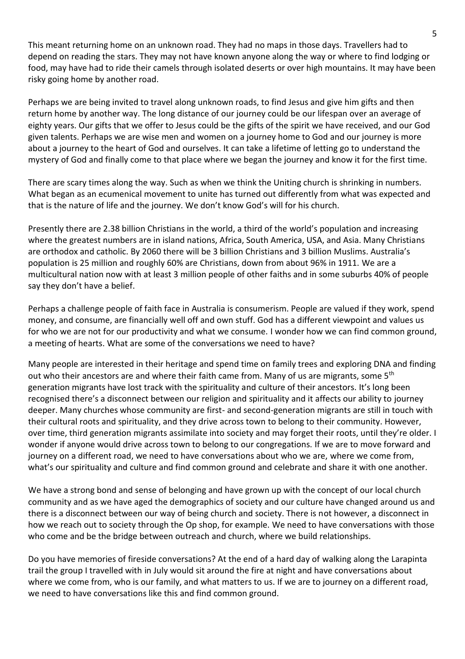This meant returning home on an unknown road. They had no maps in those days. Travellers had to depend on reading the stars. They may not have known anyone along the way or where to find lodging or food, may have had to ride their camels through isolated deserts or over high mountains. It may have been risky going home by another road.

Perhaps we are being invited to travel along unknown roads, to find Jesus and give him gifts and then return home by another way. The long distance of our journey could be our lifespan over an average of eighty years. Our gifts that we offer to Jesus could be the gifts of the spirit we have received, and our God given talents. Perhaps we are wise men and women on a journey home to God and our journey is more about a journey to the heart of God and ourselves. It can take a lifetime of letting go to understand the mystery of God and finally come to that place where we began the journey and know it for the first time.

There are scary times along the way. Such as when we think the Uniting church is shrinking in numbers. What began as an ecumenical movement to unite has turned out differently from what was expected and that is the nature of life and the journey. We don't know God's will for his church.

Presently there are 2.38 billion Christians in the world, a third of the world's population and increasing where the greatest numbers are in island nations, Africa, South America, USA, and Asia. Many Christians are orthodox and catholic. By 2060 there will be 3 billion Christians and 3 billion Muslims. Australia's population is 25 million and roughly 60% are Christians, down from about 96% in 1911. We are a multicultural nation now with at least 3 million people of other faiths and in some suburbs 40% of people say they don't have a belief.

Perhaps a challenge people of faith face in Australia is consumerism. People are valued if they work, spend money, and consume, are financially well off and own stuff. God has a different viewpoint and values us for who we are not for our productivity and what we consume. I wonder how we can find common ground, a meeting of hearts. What are some of the conversations we need to have?

Many people are interested in their heritage and spend time on family trees and exploring DNA and finding out who their ancestors are and where their faith came from. Many of us are migrants, some 5<sup>th</sup> generation migrants have lost track with the spirituality and culture of their ancestors. It's long been recognised there's a disconnect between our religion and spirituality and it affects our ability to journey deeper. Many churches whose community are first- and second-generation migrants are still in touch with their cultural roots and spirituality, and they drive across town to belong to their community. However, over time, third generation migrants assimilate into society and may forget their roots, until they're older. I wonder if anyone would drive across town to belong to our congregations. If we are to move forward and journey on a different road, we need to have conversations about who we are, where we come from, what's our spirituality and culture and find common ground and celebrate and share it with one another.

We have a strong bond and sense of belonging and have grown up with the concept of our local church community and as we have aged the demographics of society and our culture have changed around us and there is a disconnect between our way of being church and society. There is not however, a disconnect in how we reach out to society through the Op shop, for example. We need to have conversations with those who come and be the bridge between outreach and church, where we build relationships.

Do you have memories of fireside conversations? At the end of a hard day of walking along the Larapinta trail the group I travelled with in July would sit around the fire at night and have conversations about where we come from, who is our family, and what matters to us. If we are to journey on a different road, we need to have conversations like this and find common ground.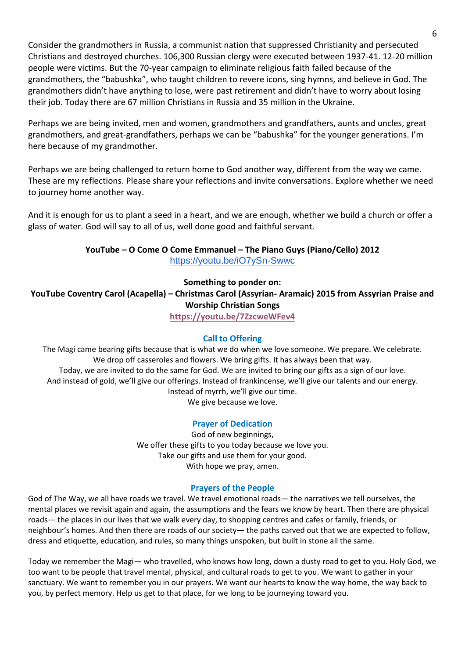Consider the grandmothers in Russia, a communist nation that suppressed Christianity and persecuted Christians and destroyed churches. 106,300 Russian clergy were executed between 1937-41. 12-20 million people were victims. But the 70-year campaign to eliminate religious faith failed because of the grandmothers, the "babushka", who taught children to revere icons, sing hymns, and believe in God. The grandmothers didn't have anything to lose, were past retirement and didn't have to worry about losing their job. Today there are 67 million Christians in Russia and 35 million in the Ukraine.

Perhaps we are being invited, men and women, grandmothers and grandfathers, aunts and uncles, great grandmothers, and great-grandfathers, perhaps we can be "babushka" for the younger generations. I'm here because of my grandmother.

Perhaps we are being challenged to return home to God another way, different from the way we came. These are my reflections. Please share your reflections and invite conversations. Explore whether we need to journey home another way.

And it is enough for us to plant a seed in a heart, and we are enough, whether we build a church or offer a glass of water. God will say to all of us, well done good and faithful servant.

> **YouTube – O Come O Come Emmanuel – The Piano Guys (Piano/Cello) 2012** <https://youtu.be/iO7ySn-Swwc>

> > **Something to ponder on:**

**YouTube Coventry Carol (Acapella) – Christmas Carol (Assyrian- Aramaic) 2015 from Assyrian Praise and Worship Christian Songs**

**<https://youtu.be/7ZzcweWFev4>**

## **Call to Offering**

The Magi came bearing gifts because that is what we do when we love someone. We prepare. We celebrate. We drop off casseroles and flowers. We bring gifts. It has always been that way. Today, we are invited to do the same for God. We are invited to bring our gifts as a sign of our love. And instead of gold, we'll give our offerings. Instead of frankincense, we'll give our talents and our energy. Instead of myrrh, we'll give our time. We give because we love.

## **Prayer of Dedication**

God of new beginnings, We offer these gifts to you today because we love you. Take our gifts and use them for your good. With hope we pray, amen.

## **Prayers of the People**

God of The Way, we all have roads we travel. We travel emotional roads— the narratives we tell ourselves, the mental places we revisit again and again, the assumptions and the fears we know by heart. Then there are physical roads— the places in our lives that we walk every day, to shopping centres and cafes or family, friends, or neighbour's homes. And then there are roads of our society— the paths carved out that we are expected to follow, dress and etiquette, education, and rules, so many things unspoken, but built in stone all the same.

Today we remember the Magi— who travelled, who knows how long, down a dusty road to get to you. Holy God, we too want to be people that travel mental, physical, and cultural roads to get to you. We want to gather in your sanctuary. We want to remember you in our prayers. We want our hearts to know the way home, the way back to you, by perfect memory. Help us get to that place, for we long to be journeying toward you.